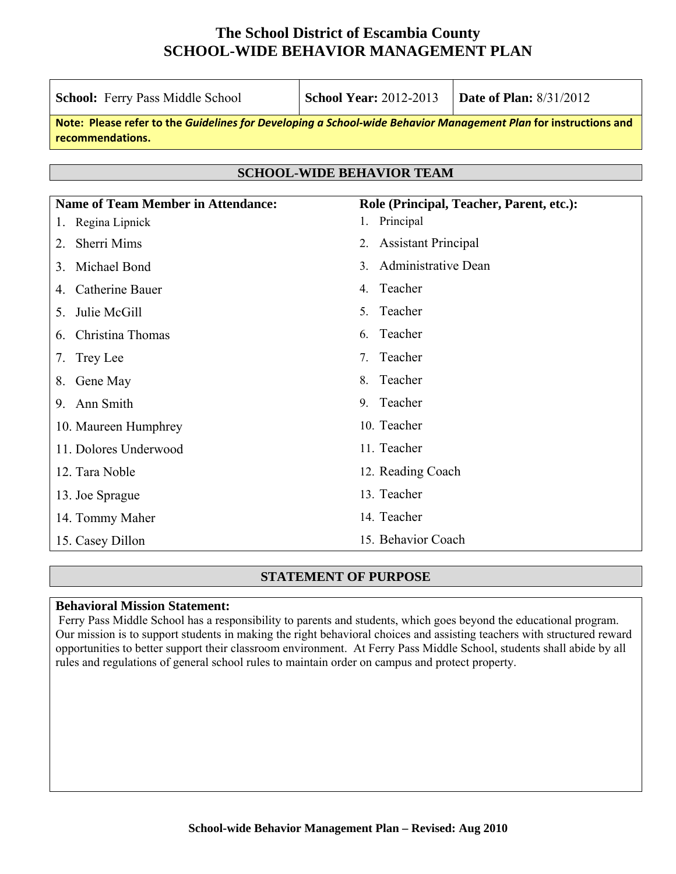| <b>School:</b> Ferry Pass Middle School                                                                                             | <b>School Year: 2012-2013</b><br><b>Date of Plan: 8/31/2012</b> |                            |  |  |  |  |
|-------------------------------------------------------------------------------------------------------------------------------------|-----------------------------------------------------------------|----------------------------|--|--|--|--|
| Note: Please refer to the Guidelines for Developing a School-wide Behavior Management Plan for instructions and<br>recommendations. |                                                                 |                            |  |  |  |  |
|                                                                                                                                     |                                                                 |                            |  |  |  |  |
| <b>SCHOOL-WIDE BEHAVIOR TEAM</b>                                                                                                    |                                                                 |                            |  |  |  |  |
| <b>Name of Team Member in Attendance:</b><br>Role (Principal, Teacher, Parent, etc.):                                               |                                                                 |                            |  |  |  |  |
| Regina Lipnick<br>1.                                                                                                                | Principal<br>1.                                                 |                            |  |  |  |  |
| Sherri Mims<br>2                                                                                                                    | 2.                                                              | <b>Assistant Principal</b> |  |  |  |  |
| Michael Bond<br>3.                                                                                                                  | <b>Administrative Dean</b><br>$\mathcal{E}$                     |                            |  |  |  |  |
| Catherine Bauer<br>4.                                                                                                               | Teacher<br>$4_{\cdot}$                                          |                            |  |  |  |  |
| Julie McGill<br>5.                                                                                                                  | Teacher<br>5 <sup>1</sup>                                       |                            |  |  |  |  |
| Christina Thomas<br>6.                                                                                                              | Teacher<br>6.                                                   |                            |  |  |  |  |
| Trey Lee<br>7.                                                                                                                      | Teacher<br>7.                                                   |                            |  |  |  |  |
| Gene May<br>8.                                                                                                                      | Teacher<br>8                                                    |                            |  |  |  |  |
| 9. Ann Smith                                                                                                                        | Teacher<br>9                                                    |                            |  |  |  |  |
| 10. Maureen Humphrey                                                                                                                | 10. Teacher                                                     |                            |  |  |  |  |
| 11. Dolores Underwood                                                                                                               | 11. Teacher                                                     |                            |  |  |  |  |
| 12. Tara Noble                                                                                                                      | 12. Reading Coach                                               |                            |  |  |  |  |
| 13. Joe Sprague                                                                                                                     | 13. Teacher                                                     |                            |  |  |  |  |
| 14. Tommy Maher                                                                                                                     | 14. Teacher                                                     |                            |  |  |  |  |
| 15. Casey Dillon                                                                                                                    | 15. Behavior Coach                                              |                            |  |  |  |  |

### **STATEMENT OF PURPOSE**

#### **Behavioral Mission Statement:**

 Ferry Pass Middle School has a responsibility to parents and students, which goes beyond the educational program. Our mission is to support students in making the right behavioral choices and assisting teachers with structured reward opportunities to better support their classroom environment. At Ferry Pass Middle School, students shall abide by all rules and regulations of general school rules to maintain order on campus and protect property.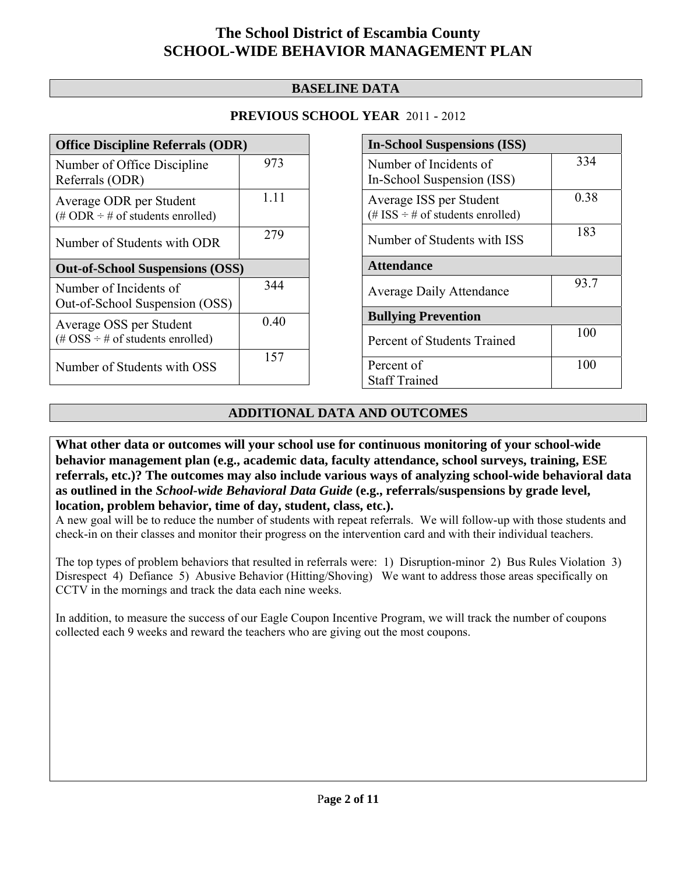## **BASELINE DATA**

## **PREVIOUS SCHOOL YEAR** 2011 - 2012

| <b>Office Discipline Referrals (ODR)</b>                                                        |       |  |  |  |
|-------------------------------------------------------------------------------------------------|-------|--|--|--|
| Number of Office Discipline<br>Referrals (ODR)                                                  | 973   |  |  |  |
| Average ODR per Student<br>$(\# ODR \div \# of students enrolled)$                              | 1 1 1 |  |  |  |
| Number of Students with ODR                                                                     | 279   |  |  |  |
| <b>Out-of-School Suspensions (OSS)</b>                                                          |       |  |  |  |
| Number of Incidents of                                                                          | 344   |  |  |  |
| Out-of-School Suspension (OSS)                                                                  |       |  |  |  |
| Average OSS per Student<br>$(\text{\#} \text{OSS} \div \text{\#} \text{ of students enrolled})$ | 0.40  |  |  |  |

| <b>In-School Suspensions (ISS)</b>    |      |  |  |  |
|---------------------------------------|------|--|--|--|
| Number of Incidents of                | 334  |  |  |  |
| In-School Suspension (ISS)            |      |  |  |  |
| Average ISS per Student               | 0.38 |  |  |  |
| (# ISS $\div$ # of students enrolled) |      |  |  |  |
| Number of Students with ISS           | 183  |  |  |  |
| <b>Attendance</b>                     |      |  |  |  |
| <b>Average Daily Attendance</b>       | 93.7 |  |  |  |
| <b>Bullying Prevention</b>            |      |  |  |  |
| Percent of Students Trained           | 100  |  |  |  |
|                                       |      |  |  |  |
| Percent of                            | 100  |  |  |  |
| <b>Staff Trained</b>                  |      |  |  |  |

## **ADDITIONAL DATA AND OUTCOMES**

**What other data or outcomes will your school use for continuous monitoring of your school-wide behavior management plan (e.g., academic data, faculty attendance, school surveys, training, ESE referrals, etc.)? The outcomes may also include various ways of analyzing school-wide behavioral data as outlined in the** *School-wide Behavioral Data Guide* **(e.g., referrals/suspensions by grade level, location, problem behavior, time of day, student, class, etc.).**

A new goal will be to reduce the number of students with repeat referrals. We will follow-up with those students and check-in on their classes and monitor their progress on the intervention card and with their individual teachers.

The top types of problem behaviors that resulted in referrals were: 1) Disruption-minor 2) Bus Rules Violation 3) Disrespect 4) Defiance 5) Abusive Behavior (Hitting/Shoving) We want to address those areas specifically on CCTV in the mornings and track the data each nine weeks.

In addition, to measure the success of our Eagle Coupon Incentive Program, we will track the number of coupons collected each 9 weeks and reward the teachers who are giving out the most coupons.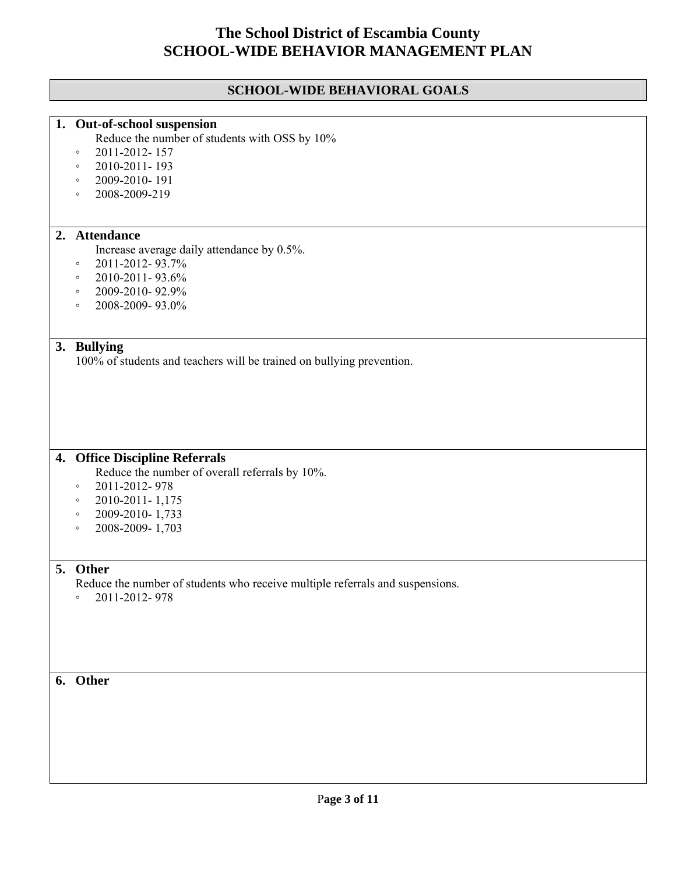# **SCHOOL-WIDE BEHAVIORAL GOALS**

|    | 1. Out-of-school suspension                                                   |
|----|-------------------------------------------------------------------------------|
|    | Reduce the number of students with OSS by 10%                                 |
|    | 2011-2012-157<br>$\circ$                                                      |
|    | 2010-2011-193<br>$\circ$                                                      |
|    | 2009-2010-191<br>$\circ$                                                      |
|    | 2008-2009-219<br>$\circ$                                                      |
|    |                                                                               |
|    | 2. Attendance                                                                 |
|    | Increase average daily attendance by 0.5%.                                    |
|    | 2011-2012-93.7%<br>$\circ$                                                    |
|    | 2010-2011-93.6%<br>$\circ$                                                    |
|    | 2009-2010-92.9%                                                               |
|    | $\circ$                                                                       |
|    | 2008-2009-93.0%<br>$\circ$                                                    |
| 3. | <b>Bullying</b>                                                               |
|    | 100% of students and teachers will be trained on bullying prevention.         |
|    |                                                                               |
|    |                                                                               |
|    |                                                                               |
|    |                                                                               |
|    | 4. Office Discipline Referrals                                                |
|    | Reduce the number of overall referrals by 10%.                                |
|    | 2011-2012-978<br>$\circ$                                                      |
|    | 2010-2011-1,175<br>$\circ$                                                    |
|    | 2009-2010-1,733<br>$\circ$                                                    |
|    | 2008-2009-1,703<br>$\circ$                                                    |
|    |                                                                               |
|    | 5. Other                                                                      |
|    | Reduce the number of students who receive multiple referrals and suspensions. |
|    | 2011-2012-978<br>$\circ$                                                      |
|    |                                                                               |
|    |                                                                               |
|    |                                                                               |
|    |                                                                               |
|    |                                                                               |
|    | 6. Other                                                                      |
|    |                                                                               |
|    |                                                                               |
|    |                                                                               |
|    |                                                                               |
|    |                                                                               |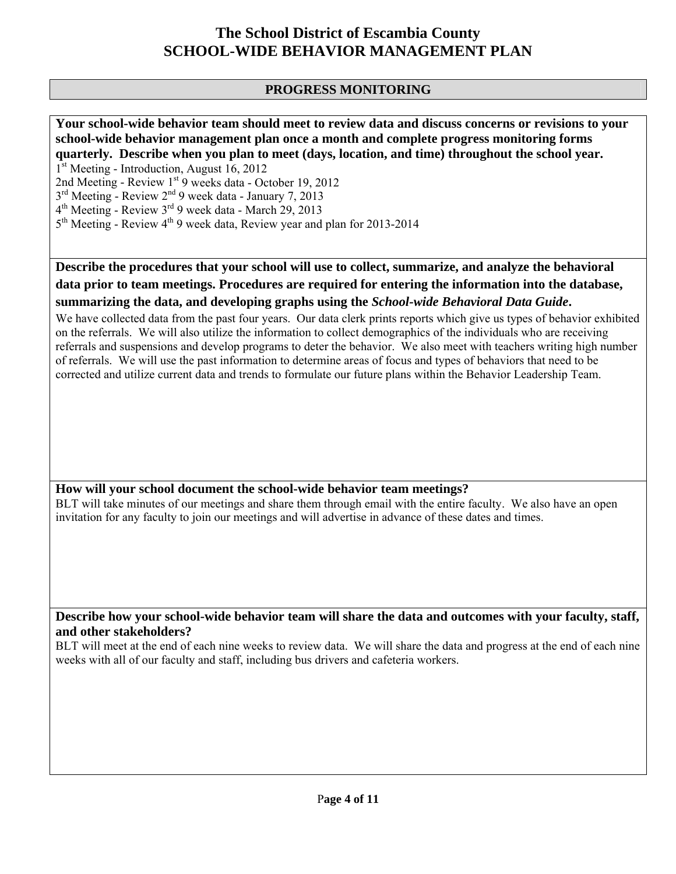## **PROGRESS MONITORING**

#### **Your school-wide behavior team should meet to review data and discuss concerns or revisions to your school-wide behavior management plan once a month and complete progress monitoring forms quarterly. Describe when you plan to meet (days, location, and time) throughout the school year.**  1<sup>st</sup> Meeting - Introduction, August 16, 2012

2nd Meeting - Review 1<sup>st</sup> 9 weeks data - October 19, 2012

 $3<sup>rd</sup> Meeting - Review 2<sup>nd</sup> 9 week data - January 7, 2013$ 

 $4<sup>th</sup>$  Meeting - Review  $3<sup>rd</sup>$  9 week data - March 29, 2013

5<sup>th</sup> Meeting - Review 4<sup>th</sup> 9 week data, Review year and plan for 2013-2014

**Describe the procedures that your school will use to collect, summarize, and analyze the behavioral data prior to team meetings. Procedures are required for entering the information into the database, summarizing the data, and developing graphs using the** *School-wide Behavioral Data Guide***.** 

We have collected data from the past four years. Our data clerk prints reports which give us types of behavior exhibited on the referrals. We will also utilize the information to collect demographics of the individuals who are receiving referrals and suspensions and develop programs to deter the behavior. We also meet with teachers writing high number of referrals. We will use the past information to determine areas of focus and types of behaviors that need to be corrected and utilize current data and trends to formulate our future plans within the Behavior Leadership Team.

#### **How will your school document the school-wide behavior team meetings?**

BLT will take minutes of our meetings and share them through email with the entire faculty. We also have an open invitation for any faculty to join our meetings and will advertise in advance of these dates and times.

### **Describe how your school-wide behavior team will share the data and outcomes with your faculty, staff, and other stakeholders?**

BLT will meet at the end of each nine weeks to review data. We will share the data and progress at the end of each nine weeks with all of our faculty and staff, including bus drivers and cafeteria workers.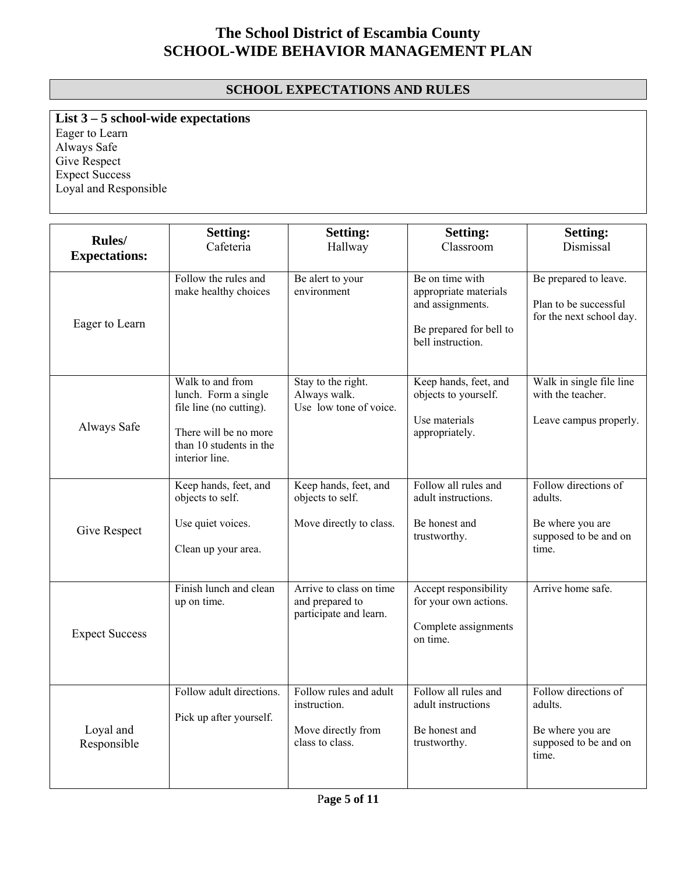## **SCHOOL EXPECTATIONS AND RULES**

**List 3 – 5 school-wide expectations** Eager to Learn Always Safe Give Respect

Expect Success Loyal and Responsible

| Rules/<br><b>Expectations:</b> | <b>Setting:</b><br>Cafeteria                                                                                                              | <b>Setting:</b><br>Hallway                                                      | <b>Setting:</b><br>Classroom                                                                                 | <b>Setting:</b><br>Dismissal                                                          |
|--------------------------------|-------------------------------------------------------------------------------------------------------------------------------------------|---------------------------------------------------------------------------------|--------------------------------------------------------------------------------------------------------------|---------------------------------------------------------------------------------------|
| Eager to Learn                 | Follow the rules and<br>make healthy choices                                                                                              | Be alert to your<br>environment                                                 | Be on time with<br>appropriate materials<br>and assignments.<br>Be prepared for bell to<br>bell instruction. | Be prepared to leave.<br>Plan to be successful<br>for the next school day.            |
| Always Safe                    | Walk to and from<br>lunch. Form a single<br>file line (no cutting).<br>There will be no more<br>than 10 students in the<br>interior line. | Stay to the right.<br>Always walk.<br>Use low tone of voice.                    | Keep hands, feet, and<br>objects to yourself.<br>Use materials<br>appropriately.                             | Walk in single file line<br>with the teacher.<br>Leave campus properly.               |
| Give Respect                   | Keep hands, feet, and<br>objects to self.<br>Use quiet voices.<br>Clean up your area.                                                     | Keep hands, feet, and<br>objects to self.<br>Move directly to class.            | Follow all rules and<br>adult instructions.<br>Be honest and<br>trustworthy.                                 | Follow directions of<br>adults<br>Be where you are<br>supposed to be and on<br>time.  |
| <b>Expect Success</b>          | Finish lunch and clean<br>up on time.                                                                                                     | Arrive to class on time<br>and prepared to<br>participate and learn.            | Accept responsibility<br>for your own actions.<br>Complete assignments<br>on time.                           | Arrive home safe.                                                                     |
| Loyal and<br>Responsible       | Follow adult directions.<br>Pick up after yourself.                                                                                       | Follow rules and adult<br>instruction.<br>Move directly from<br>class to class. | Follow all rules and<br>adult instructions<br>Be honest and<br>trustworthy.                                  | Follow directions of<br>adults.<br>Be where you are<br>supposed to be and on<br>time. |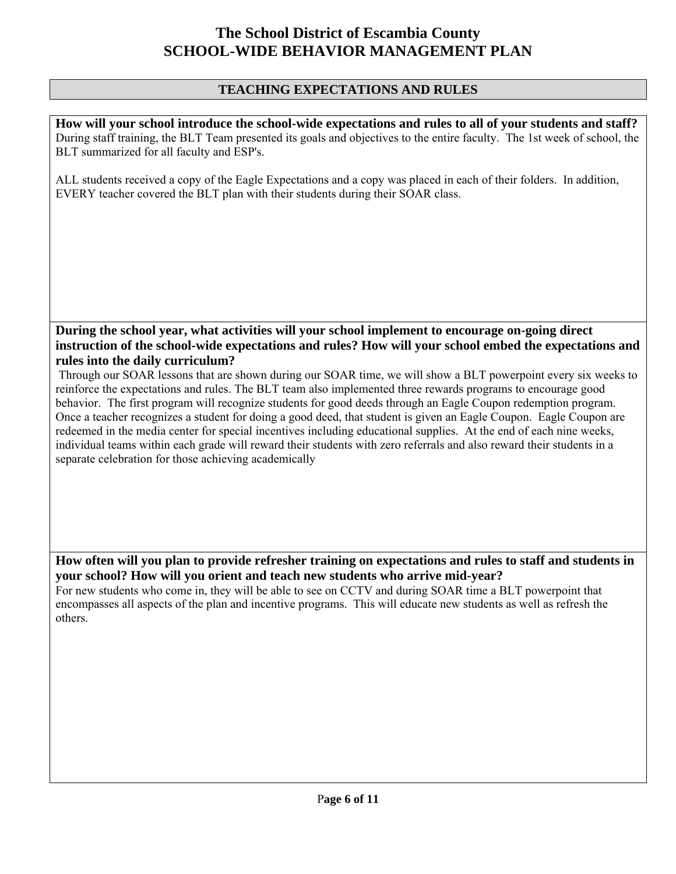### **TEACHING EXPECTATIONS AND RULES**

**How will your school introduce the school-wide expectations and rules to all of your students and staff?**  During staff training, the BLT Team presented its goals and objectives to the entire faculty. The 1st week of school, the BLT summarized for all faculty and ESP's.

ALL students received a copy of the Eagle Expectations and a copy was placed in each of their folders. In addition, EVERY teacher covered the BLT plan with their students during their SOAR class.

## **During the school year, what activities will your school implement to encourage on-going direct instruction of the school-wide expectations and rules? How will your school embed the expectations and rules into the daily curriculum?**

 Through our SOAR lessons that are shown during our SOAR time, we will show a BLT powerpoint every six weeks to reinforce the expectations and rules. The BLT team also implemented three rewards programs to encourage good behavior. The first program will recognize students for good deeds through an Eagle Coupon redemption program. Once a teacher recognizes a student for doing a good deed, that student is given an Eagle Coupon. Eagle Coupon are redeemed in the media center for special incentives including educational supplies. At the end of each nine weeks, individual teams within each grade will reward their students with zero referrals and also reward their students in a separate celebration for those achieving academically

#### **How often will you plan to provide refresher training on expectations and rules to staff and students in your school? How will you orient and teach new students who arrive mid-year?**  For new students who come in, they will be able to see on CCTV and during SOAR time a BLT powerpoint that encompasses all aspects of the plan and incentive programs. This will educate new students as well as refresh the others.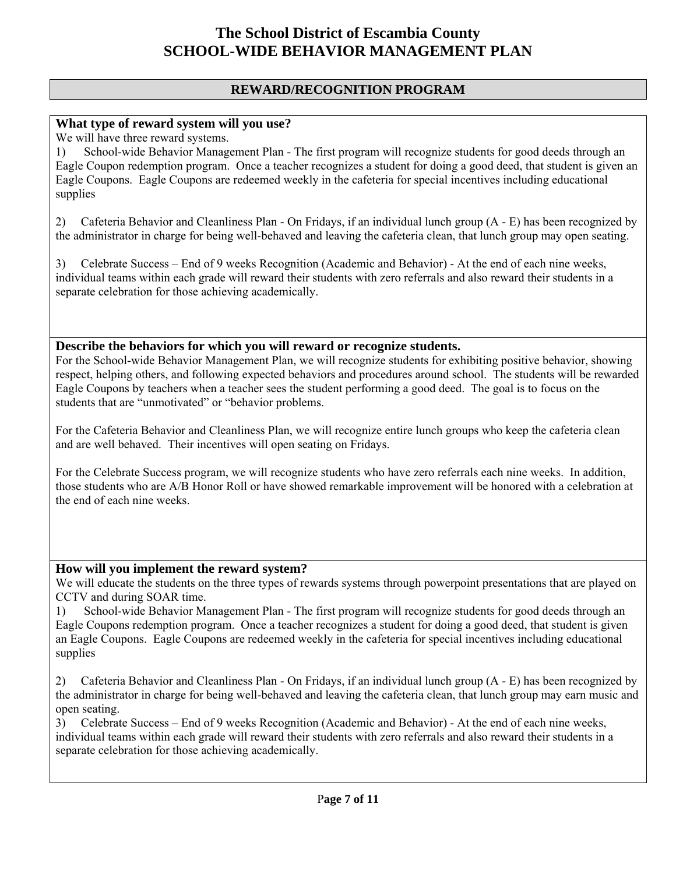### **REWARD/RECOGNITION PROGRAM**

#### **What type of reward system will you use?**

We will have three reward systems.

1) School-wide Behavior Management Plan - The first program will recognize students for good deeds through an Eagle Coupon redemption program. Once a teacher recognizes a student for doing a good deed, that student is given an Eagle Coupons. Eagle Coupons are redeemed weekly in the cafeteria for special incentives including educational supplies

2) Cafeteria Behavior and Cleanliness Plan - On Fridays, if an individual lunch group (A - E) has been recognized by the administrator in charge for being well-behaved and leaving the cafeteria clean, that lunch group may open seating.

3) Celebrate Success – End of 9 weeks Recognition (Academic and Behavior) - At the end of each nine weeks, individual teams within each grade will reward their students with zero referrals and also reward their students in a separate celebration for those achieving academically.

#### **Describe the behaviors for which you will reward or recognize students.**

For the School-wide Behavior Management Plan, we will recognize students for exhibiting positive behavior, showing respect, helping others, and following expected behaviors and procedures around school. The students will be rewarded Eagle Coupons by teachers when a teacher sees the student performing a good deed. The goal is to focus on the students that are "unmotivated" or "behavior problems.

For the Cafeteria Behavior and Cleanliness Plan, we will recognize entire lunch groups who keep the cafeteria clean and are well behaved. Their incentives will open seating on Fridays.

For the Celebrate Success program, we will recognize students who have zero referrals each nine weeks. In addition, those students who are A/B Honor Roll or have showed remarkable improvement will be honored with a celebration at the end of each nine weeks.

#### **How will you implement the reward system?**

We will educate the students on the three types of rewards systems through powerpoint presentations that are played on CCTV and during SOAR time.

1) School-wide Behavior Management Plan - The first program will recognize students for good deeds through an Eagle Coupons redemption program. Once a teacher recognizes a student for doing a good deed, that student is given an Eagle Coupons. Eagle Coupons are redeemed weekly in the cafeteria for special incentives including educational supplies

2) Cafeteria Behavior and Cleanliness Plan - On Fridays, if an individual lunch group (A - E) has been recognized by the administrator in charge for being well-behaved and leaving the cafeteria clean, that lunch group may earn music and open seating.

3) Celebrate Success – End of 9 weeks Recognition (Academic and Behavior) - At the end of each nine weeks, individual teams within each grade will reward their students with zero referrals and also reward their students in a separate celebration for those achieving academically.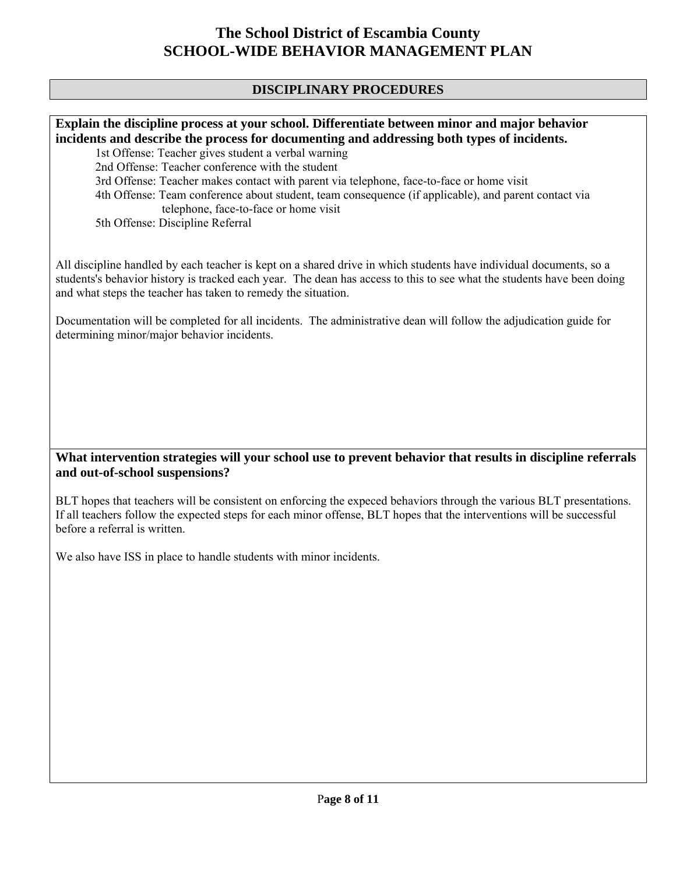### **DISCIPLINARY PROCEDURES**

**Explain the discipline process at your school. Differentiate between minor and major behavior incidents and describe the process for documenting and addressing both types of incidents.** 

 1st Offense: Teacher gives student a verbal warning 2nd Offense: Teacher conference with the student 3rd Offense: Teacher makes contact with parent via telephone, face-to-face or home visit 4th Offense: Team conference about student, team consequence (if applicable), and parent contact via telephone, face-to-face or home visit 5th Offense: Discipline Referral

All discipline handled by each teacher is kept on a shared drive in which students have individual documents, so a students's behavior history is tracked each year. The dean has access to this to see what the students have been doing and what steps the teacher has taken to remedy the situation.

Documentation will be completed for all incidents. The administrative dean will follow the adjudication guide for determining minor/major behavior incidents.

### **What intervention strategies will your school use to prevent behavior that results in discipline referrals and out-of-school suspensions?**

BLT hopes that teachers will be consistent on enforcing the expeced behaviors through the various BLT presentations. If all teachers follow the expected steps for each minor offense, BLT hopes that the interventions will be successful before a referral is written.

We also have ISS in place to handle students with minor incidents.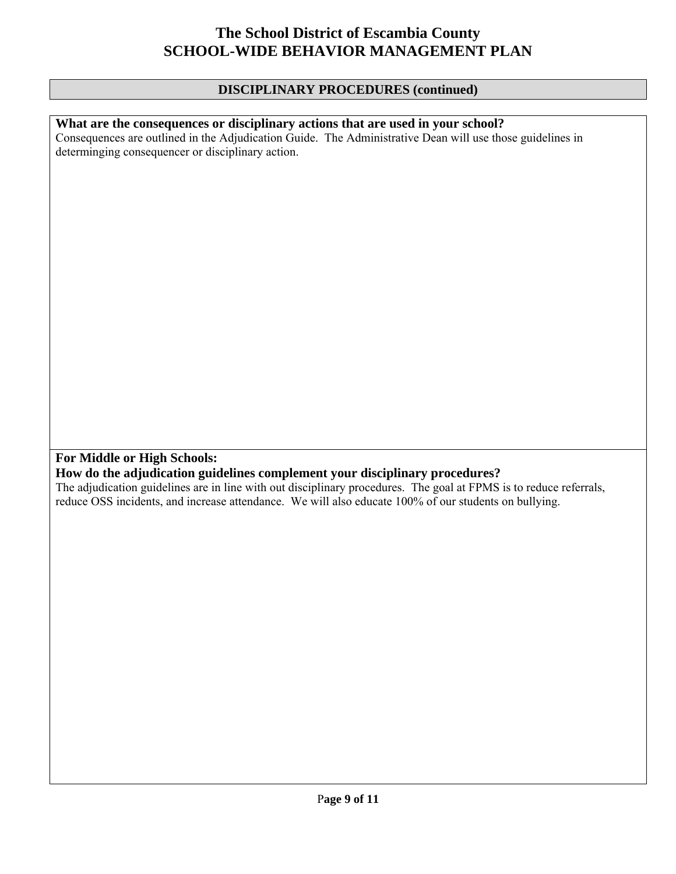### **DISCIPLINARY PROCEDURES (continued)**

#### **What are the consequences or disciplinary actions that are used in your school?**

Consequences are outlined in the Adjudication Guide. The Administrative Dean will use those guidelines in determinging consequencer or disciplinary action.

## **For Middle or High Schools:**

#### **How do the adjudication guidelines complement your disciplinary procedures?**

The adjudication guidelines are in line with out disciplinary procedures. The goal at FPMS is to reduce referrals, reduce OSS incidents, and increase attendance. We will also educate 100% of our students on bullying.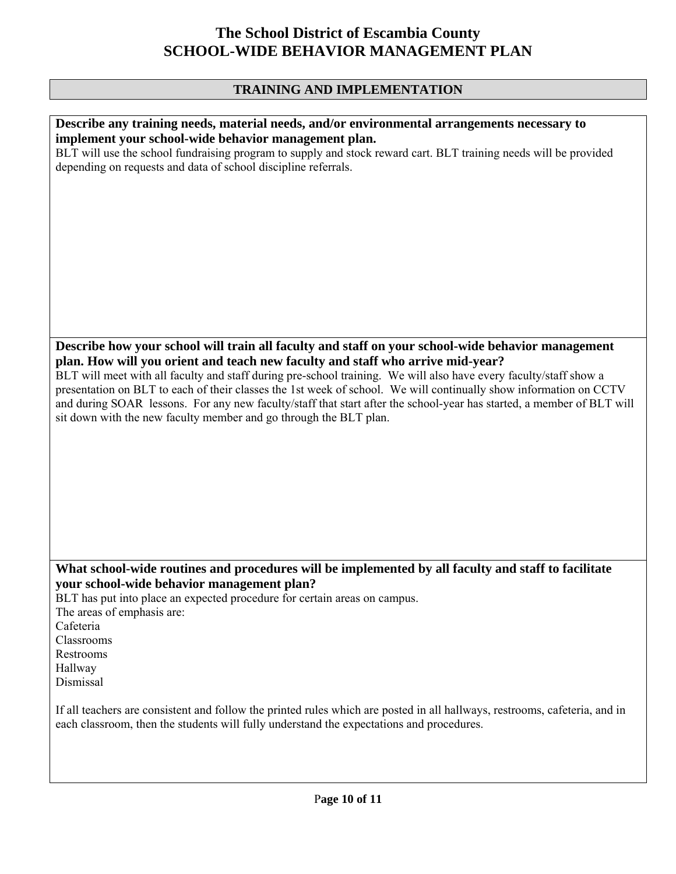# **TRAINING AND IMPLEMENTATION**

| Describe any training needs, material needs, and/or environmental arrangements necessary to                                |
|----------------------------------------------------------------------------------------------------------------------------|
| implement your school-wide behavior management plan.                                                                       |
|                                                                                                                            |
| BLT will use the school fundraising program to supply and stock reward cart. BLT training needs will be provided           |
| depending on requests and data of school discipline referrals.                                                             |
|                                                                                                                            |
|                                                                                                                            |
|                                                                                                                            |
|                                                                                                                            |
|                                                                                                                            |
|                                                                                                                            |
|                                                                                                                            |
|                                                                                                                            |
|                                                                                                                            |
|                                                                                                                            |
|                                                                                                                            |
|                                                                                                                            |
|                                                                                                                            |
| Describe how your school will train all faculty and staff on your school-wide behavior management                          |
| plan. How will you orient and teach new faculty and staff who arrive mid-year?                                             |
| BLT will meet with all faculty and staff during pre-school training. We will also have every faculty/staff show a          |
|                                                                                                                            |
| presentation on BLT to each of their classes the 1st week of school. We will continually show information on CCTV          |
| and during SOAR lessons. For any new faculty/staff that start after the school-year has started, a member of BLT will      |
| sit down with the new faculty member and go through the BLT plan.                                                          |
|                                                                                                                            |
|                                                                                                                            |
|                                                                                                                            |
|                                                                                                                            |
|                                                                                                                            |
|                                                                                                                            |
|                                                                                                                            |
|                                                                                                                            |
|                                                                                                                            |
|                                                                                                                            |
|                                                                                                                            |
| What school-wide routines and procedures will be implemented by all faculty and staff to facilitate                        |
| your school-wide behavior management plan?                                                                                 |
| BLT has put into place an expected procedure for certain areas on campus.                                                  |
|                                                                                                                            |
| The areas of emphasis are:                                                                                                 |
| Cafeteria                                                                                                                  |
| Classrooms                                                                                                                 |
| Restrooms                                                                                                                  |
| Hallway                                                                                                                    |
| Dismissal                                                                                                                  |
|                                                                                                                            |
| If all teachers are consistent and follow the printed rules which are posted in all hallways, restrooms, cafeteria, and in |
| each classroom, then the students will fully understand the expectations and procedures.                                   |
|                                                                                                                            |
|                                                                                                                            |
|                                                                                                                            |